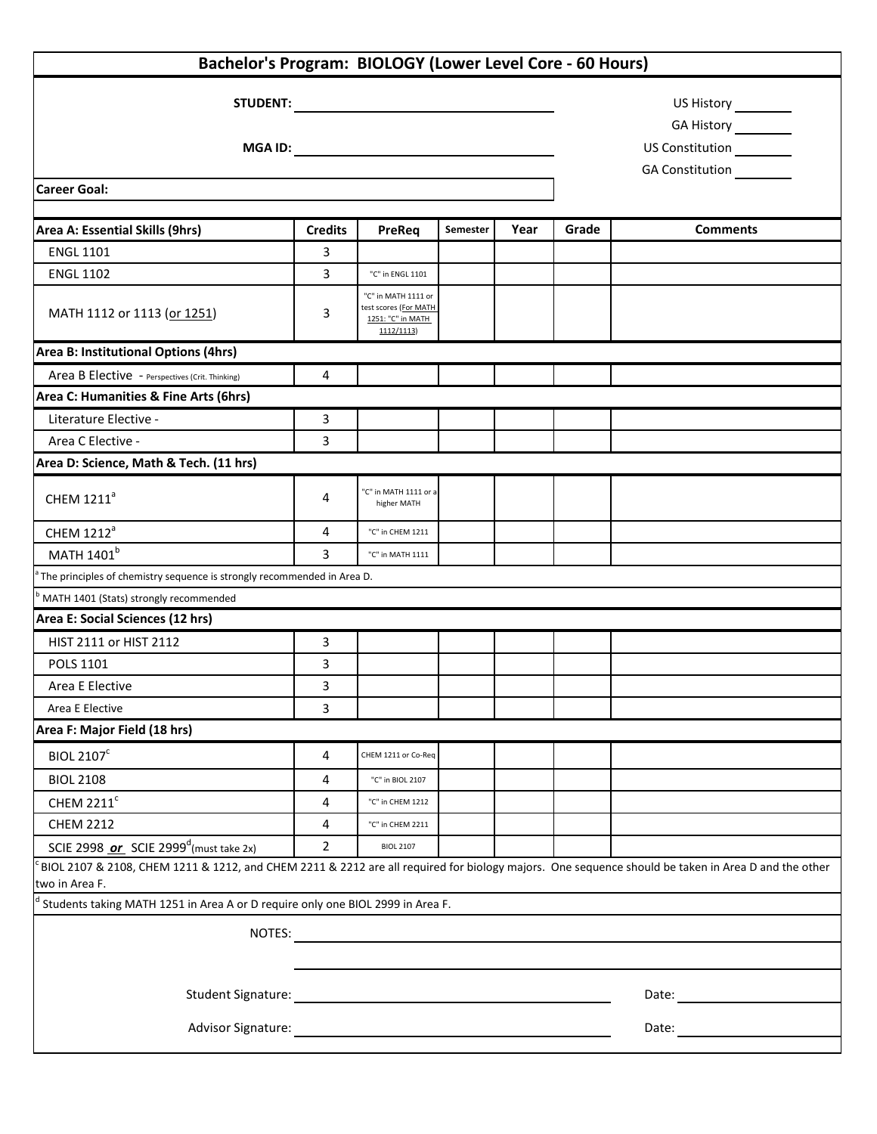| Bachelor's Program: BIOLOGY (Lower Level Core - 60 Hours)                                                                                                                                                                      |                |                                                                                 |          |      |       |                                                                                                                                                                                                                                |  |  |
|--------------------------------------------------------------------------------------------------------------------------------------------------------------------------------------------------------------------------------|----------------|---------------------------------------------------------------------------------|----------|------|-------|--------------------------------------------------------------------------------------------------------------------------------------------------------------------------------------------------------------------------------|--|--|
|                                                                                                                                                                                                                                |                |                                                                                 |          |      |       | GA History ________<br>US Constitution<br>GA Constitution<br><u>GA</u>                                                                                                                                                         |  |  |
|                                                                                                                                                                                                                                |                |                                                                                 |          |      |       |                                                                                                                                                                                                                                |  |  |
| Area A: Essential Skills (9hrs)                                                                                                                                                                                                | <b>Credits</b> | PreReq                                                                          | Semester | Year | Grade | <b>Comments</b>                                                                                                                                                                                                                |  |  |
| <b>ENGL 1101</b>                                                                                                                                                                                                               | 3              |                                                                                 |          |      |       |                                                                                                                                                                                                                                |  |  |
| <b>ENGL 1102</b>                                                                                                                                                                                                               | 3              | "C" in ENGL 1101                                                                |          |      |       |                                                                                                                                                                                                                                |  |  |
| MATH 1112 or 1113 (or 1251)                                                                                                                                                                                                    | 3              | "C" in MATH 1111 or<br>test scores (For MATH<br>1251: "C" in MATH<br>1112/1113) |          |      |       |                                                                                                                                                                                                                                |  |  |
| Area B: Institutional Options (4hrs)                                                                                                                                                                                           |                |                                                                                 |          |      |       |                                                                                                                                                                                                                                |  |  |
| Area B Elective - Perspectives (Crit. Thinking)                                                                                                                                                                                | 4              |                                                                                 |          |      |       |                                                                                                                                                                                                                                |  |  |
| Area C: Humanities & Fine Arts (6hrs)                                                                                                                                                                                          |                |                                                                                 |          |      |       |                                                                                                                                                                                                                                |  |  |
| Literature Elective -                                                                                                                                                                                                          | 3              |                                                                                 |          |      |       |                                                                                                                                                                                                                                |  |  |
| Area C Elective -                                                                                                                                                                                                              | 3              |                                                                                 |          |      |       |                                                                                                                                                                                                                                |  |  |
| Area D: Science, Math & Tech. (11 hrs)                                                                                                                                                                                         |                |                                                                                 |          |      |       |                                                                                                                                                                                                                                |  |  |
| CHEM 1211 <sup>ª</sup>                                                                                                                                                                                                         | 4              | 'C" in MATH 1111 or a<br>higher MATH                                            |          |      |       |                                                                                                                                                                                                                                |  |  |
| CHEM 1212 <sup>a</sup>                                                                                                                                                                                                         | 4              | "C" in CHEM 1211                                                                |          |      |       |                                                                                                                                                                                                                                |  |  |
| MATH 1401 <sup>b</sup>                                                                                                                                                                                                         | 3              | "C" in MATH 1111                                                                |          |      |       |                                                                                                                                                                                                                                |  |  |
| The principles of chemistry sequence is strongly recommended in Area D.                                                                                                                                                        |                |                                                                                 |          |      |       |                                                                                                                                                                                                                                |  |  |
| MATH 1401 (Stats) strongly recommended                                                                                                                                                                                         |                |                                                                                 |          |      |       |                                                                                                                                                                                                                                |  |  |
| Area E: Social Sciences (12 hrs)                                                                                                                                                                                               |                |                                                                                 |          |      |       |                                                                                                                                                                                                                                |  |  |
| HIST 2111 or HIST 2112                                                                                                                                                                                                         | 3              |                                                                                 |          |      |       |                                                                                                                                                                                                                                |  |  |
| POLS 1101                                                                                                                                                                                                                      | 3              |                                                                                 |          |      |       |                                                                                                                                                                                                                                |  |  |
| Area E Elective                                                                                                                                                                                                                | 3              |                                                                                 |          |      |       |                                                                                                                                                                                                                                |  |  |
| Area E Elective                                                                                                                                                                                                                | 3              |                                                                                 |          |      |       |                                                                                                                                                                                                                                |  |  |
| Area F: Major Field (18 hrs)                                                                                                                                                                                                   |                |                                                                                 |          |      |       |                                                                                                                                                                                                                                |  |  |
| <b>BIOL 2107<sup>c</sup></b>                                                                                                                                                                                                   | 4              | CHEM 1211 or Co-Req                                                             |          |      |       |                                                                                                                                                                                                                                |  |  |
| <b>BIOL 2108</b>                                                                                                                                                                                                               | 4              | "C" in BIOL 2107                                                                |          |      |       |                                                                                                                                                                                                                                |  |  |
| CHEM 2211 <sup>c</sup>                                                                                                                                                                                                         | 4              | "C" in CHEM 1212                                                                |          |      |       |                                                                                                                                                                                                                                |  |  |
| <b>CHEM 2212</b>                                                                                                                                                                                                               | 4              | "C" in CHEM 2211                                                                |          |      |       |                                                                                                                                                                                                                                |  |  |
| SCIE 2998 or SCIE 2999 <sup>d</sup> (must take 2x)                                                                                                                                                                             | $\overline{2}$ | <b>BIOL 2107</b>                                                                |          |      |       |                                                                                                                                                                                                                                |  |  |
| BIOL 2107 & 2108, CHEM 1211 & 1212, and CHEM 2211 & 2212 are all required for biology majors. One sequence should be taken in Area D and the other<br>two in Area F.                                                           |                |                                                                                 |          |      |       |                                                                                                                                                                                                                                |  |  |
| Students taking MATH 1251 in Area A or D require only one BIOL 2999 in Area F.                                                                                                                                                 |                |                                                                                 |          |      |       |                                                                                                                                                                                                                                |  |  |
| NOTES:                                                                                                                                                                                                                         |                |                                                                                 |          |      |       |                                                                                                                                                                                                                                |  |  |
|                                                                                                                                                                                                                                |                |                                                                                 |          |      |       |                                                                                                                                                                                                                                |  |  |
| Student Signature: The Contract of the Contract of the Contract of the Contract of the Contract of the Contract of the Contract of the Contract of the Contract of the Contract of the Contract of the Contract of the Contrac |                |                                                                                 |          |      |       | Date: the contract of the contract of the contract of the contract of the contract of the contract of the contract of the contract of the contract of the contract of the contract of the contract of the contract of the cont |  |  |
| Advisor Signature: Advisor Signature:                                                                                                                                                                                          |                |                                                                                 |          |      |       | Date: and the state of the state of the state of the state of the state of the state of the state of the state of the state of the state of the state of the state of the state of the state of the state of the state of the  |  |  |
|                                                                                                                                                                                                                                |                |                                                                                 |          |      |       |                                                                                                                                                                                                                                |  |  |